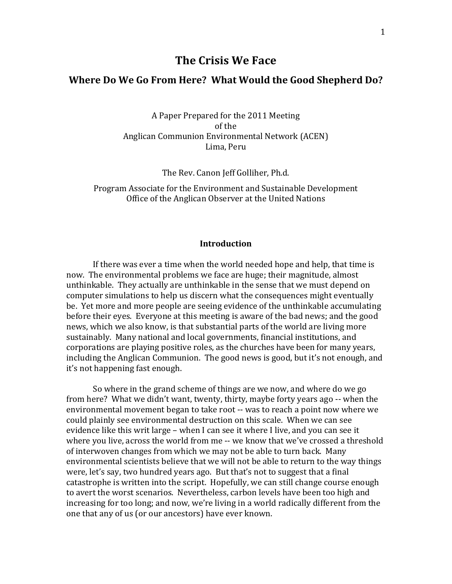# **The Crisis We Face**

### **Where Do We Go From Here? What Would the Good Shepherd Do?**

A Paper Prepared for the 2011 Meeting of the Anglican Communion Environmental Network (ACEN) Lima, Peru

The Rev. Canon Jeff Golliher, Ph.d.

Program Associate for the Environment and Sustainable Development Office of the Anglican Observer at the United Nations

#### **Introduction**

If there was ever a time when the world needed hope and help, that time is now. The environmental problems we face are huge; their magnitude, almost unthinkable. They actually are unthinkable in the sense that we must depend on computer simulations to help us discern what the consequences might eventually be. Yet more and more people are seeing evidence of the unthinkable accumulating before their eyes. Everyone at this meeting is aware of the bad news; and the good news, which we also know, is that substantial parts of the world are living more sustainably. Many national and local governments, financial institutions, and corporations are playing positive roles, as the churches have been for many years, including the Anglican Communion. The good news is good, but it's not enough, and it's not happening fast enough.

So where in the grand scheme of things are we now, and where do we go from here? What we didn't want, twenty, thirty, maybe forty years ago -- when the environmental movement began to take root -- was to reach a point now where we could plainly see environmental destruction on this scale. When we can see evidence like this writ large – when I can see it where I live, and you can see it where you live, across the world from me -- we know that we've crossed a threshold of interwoven changes from which we may not be able to turn back. Many environmental scientists believe that we will not be able to return to the way things were, let's say, two hundred years ago. But that's not to suggest that a final catastrophe is written into the script. Hopefully, we can still change course enough to avert the worst scenarios. Nevertheless, carbon levels have been too high and increasing for too long; and now, we're living in a world radically different from the one that any of us (or our ancestors) have ever known.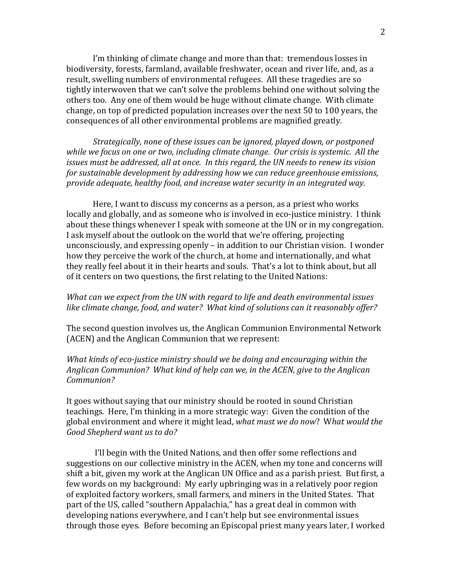I'm thinking of climate change and more than that: tremendous losses in biodiversity, forests, farmland, available freshwater, ocean and river life, and, as a result, swelling numbers of environmental refugees. All these tragedies are so tightly interwoven that we can't solve the problems behind one without solving the others too. Any one of them would be huge without climate change. With climate change, on top of predicted population increases over the next 50 to 100 years, the consequences of all other environmental problems are magnified greatly.

*Strategically, none of these issues can be ignored, played down, or postponed while we focus on one or two, including climate change. Our crisis is systemic. All the issues must be addressed, all at once. In this regard, the UN needs to renew its vision for sustainable development by addressing how we can reduce greenhouse emissions, provide adequate, healthy food, and increase water security in an integrated way.* 

Here, I want to discuss my concerns as a person, as a priest who works locally and globally, and as someone who is involved in eco-justice ministry. I think about these things whenever I speak with someone at the UN or in my congregation. I ask myself about the outlook on the world that we're offering, projecting unconsciously, and expressing openly – in addition to our Christian vision. I wonder how they perceive the work of the church, at home and internationally, and what they really feel about it in their hearts and souls. That's a lot to think about, but all of it centers on two questions, the first relating to the United Nations:

## *What can we expect from the UN with regard to life and death environmental issues like climate change, food, and water? What kind of solutions can it reasonably offer?*

The second question involves us, the Anglican Communion Environmental Network (ACEN) and the Anglican Communion that we represent:

*What kinds of eco-justice ministry should we be doing and encouraging within the Anglican Communion? What kind of help can we, in the ACEN, give to the Anglican Communion?* 

It goes without saying that our ministry should be rooted in sound Christian teachings. Here, I'm thinking in a more strategic way: Given the condition of the global environment and where it might lead, *what must we do now*? W*hat would the Good Shepherd want us to do?* 

I'll begin with the United Nations, and then offer some reflections and suggestions on our collective ministry in the ACEN, when my tone and concerns will shift a bit, given my work at the Anglican UN Office and as a parish priest. But first, a few words on my background: My early upbringing was in a relatively poor region of exploited factory workers, small farmers, and miners in the United States. That part of the US, called "southern Appalachia," has a great deal in common with developing nations everywhere, and I can't help but see environmental issues through those eyes. Before becoming an Episcopal priest many years later, I worked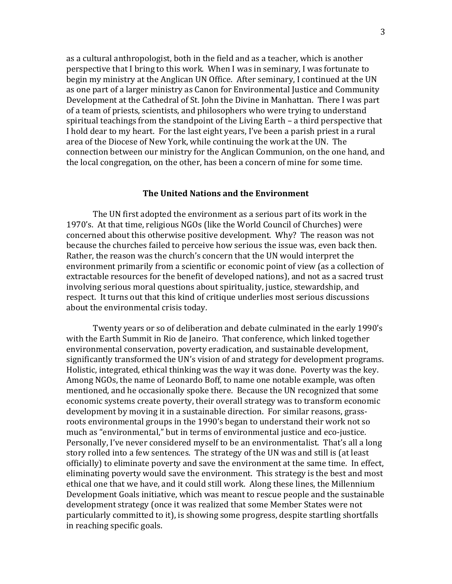as a cultural anthropologist, both in the field and as a teacher, which is another perspective that I bring to this work. When I was in seminary, I was fortunate to begin my ministry at the Anglican UN Office. After seminary, I continued at the UN as one part of a larger ministry as Canon for Environmental Justice and Community Development at the Cathedral of St. John the Divine in Manhattan. There I was part of a team of priests, scientists, and philosophers who were trying to understand spiritual teachings from the standpoint of the Living Earth – a third perspective that I hold dear to my heart. For the last eight years, I've been a parish priest in a rural area of the Diocese of New York, while continuing the work at the UN. The connection between our ministry for the Anglican Communion, on the one hand, and the local congregation, on the other, has been a concern of mine for some time.

#### **The United Nations and the Environment**

The UN first adopted the environment as a serious part of its work in the 1970's. At that time, religious NGOs (like the World Council of Churches) were concerned about this otherwise positive development. Why? The reason was not because the churches failed to perceive how serious the issue was, even back then. Rather, the reason was the church's concern that the UN would interpret the environment primarily from a scientific or economic point of view (as a collection of extractable resources for the benefit of developed nations), and not as a sacred trust involving serious moral questions about spirituality, justice, stewardship, and respect. It turns out that this kind of critique underlies most serious discussions about the environmental crisis today.

Twenty years or so of deliberation and debate culminated in the early 1990's with the Earth Summit in Rio de Janeiro. That conference, which linked together environmental conservation, poverty eradication, and sustainable development, significantly transformed the UN's vision of and strategy for development programs. Holistic, integrated, ethical thinking was the way it was done. Poverty was the key. Among NGOs, the name of Leonardo Boff, to name one notable example, was often mentioned, and he occasionally spoke there. Because the UN recognized that some economic systems create poverty, their overall strategy was to transform economic development by moving it in a sustainable direction. For similar reasons, grassroots environmental groups in the 1990's began to understand their work not so much as "environmental," but in terms of environmental justice and eco-justice. Personally, I've never considered myself to be an environmentalist. That's all a long story rolled into a few sentences. The strategy of the UN was and still is (at least officially) to eliminate poverty and save the environment at the same time. In effect, eliminating poverty would save the environment. This strategy is the best and most ethical one that we have, and it could still work. Along these lines, the Millennium Development Goals initiative, which was meant to rescue people and the sustainable development strategy (once it was realized that some Member States were not particularly committed to it), is showing some progress, despite startling shortfalls in reaching specific goals.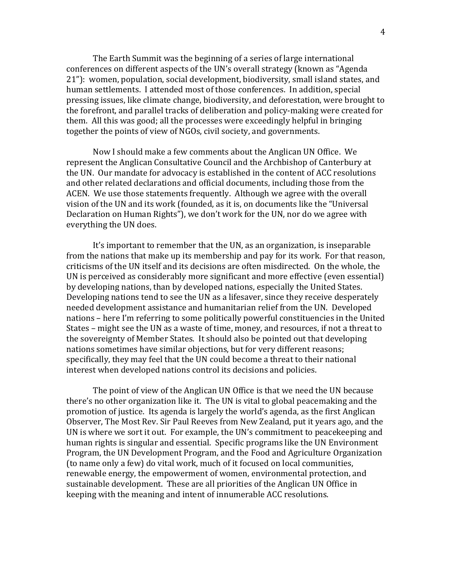The Earth Summit was the beginning of a series of large international conferences on different aspects of the UN's overall strategy (known as "Agenda 21"): women, population, social development, biodiversity, small island states, and human settlements. I attended most of those conferences. In addition, special pressing issues, like climate change, biodiversity, and deforestation, were brought to the forefront, and parallel tracks of deliberation and policy-making were created for them. All this was good; all the processes were exceedingly helpful in bringing together the points of view of NGOs, civil society, and governments.

Now I should make a few comments about the Anglican UN Office. We represent the Anglican Consultative Council and the Archbishop of Canterbury at the UN. Our mandate for advocacy is established in the content of ACC resolutions and other related declarations and official documents, including those from the ACEN. We use those statements frequently. Although we agree with the overall vision of the UN and its work (founded, as it is, on documents like the "Universal Declaration on Human Rights"), we don't work for the UN, nor do we agree with everything the UN does.

It's important to remember that the UN, as an organization, is inseparable from the nations that make up its membership and pay for its work. For that reason, criticisms of the UN itself and its decisions are often misdirected. On the whole, the UN is perceived as considerably more significant and more effective (even essential) by developing nations, than by developed nations, especially the United States. Developing nations tend to see the UN as a lifesaver, since they receive desperately needed development assistance and humanitarian relief from the UN. Developed nations – here I'm referring to some politically powerful constituencies in the United States – might see the UN as a waste of time, money, and resources, if not a threat to the sovereignty of Member States. It should also be pointed out that developing nations sometimes have similar objections, but for very different reasons; specifically, they may feel that the UN could become a threat to their national interest when developed nations control its decisions and policies.

The point of view of the Anglican UN Office is that we need the UN because there's no other organization like it. The UN is vital to global peacemaking and the promotion of justice. Its agenda is largely the world's agenda, as the first Anglican Observer, The Most Rev. Sir Paul Reeves from New Zealand, put it years ago, and the UN is where we sort it out. For example, the UN's commitment to peacekeeping and human rights is singular and essential. Specific programs like the UN Environment Program, the UN Development Program, and the Food and Agriculture Organization (to name only a few) do vital work, much of it focused on local communities, renewable energy, the empowerment of women, environmental protection, and sustainable development. These are all priorities of the Anglican UN Office in keeping with the meaning and intent of innumerable ACC resolutions.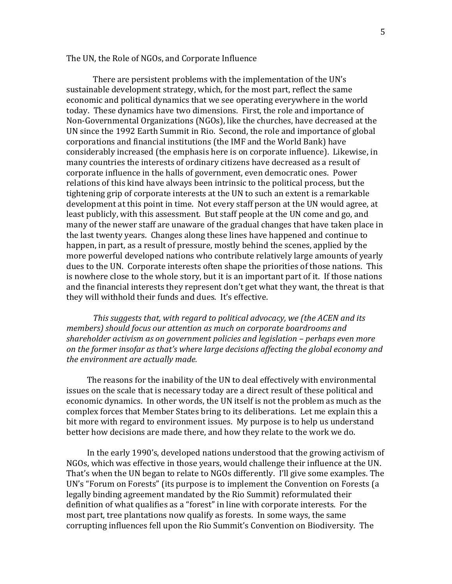#### The UN, the Role of NGOs, and Corporate Influence

There are persistent problems with the implementation of the UN's sustainable development strategy, which, for the most part, reflect the same economic and political dynamics that we see operating everywhere in the world today. These dynamics have two dimensions. First, the role and importance of Non-Governmental Organizations (NGOs), like the churches, have decreased at the UN since the 1992 Earth Summit in Rio. Second, the role and importance of global corporations and financial institutions (the IMF and the World Bank) have considerably increased (the emphasis here is on corporate influence). Likewise, in many countries the interests of ordinary citizens have decreased as a result of corporate influence in the halls of government, even democratic ones. Power relations of this kind have always been intrinsic to the political process, but the tightening grip of corporate interests at the UN to such an extent is a remarkable development at this point in time. Not every staff person at the UN would agree, at least publicly, with this assessment. But staff people at the UN come and go, and many of the newer staff are unaware of the gradual changes that have taken place in the last twenty years. Changes along these lines have happened and continue to happen, in part, as a result of pressure, mostly behind the scenes, applied by the more powerful developed nations who contribute relatively large amounts of yearly dues to the UN. Corporate interests often shape the priorities of those nations. This is nowhere close to the whole story, but it is an important part of it. If those nations and the financial interests they represent don't get what they want, the threat is that they will withhold their funds and dues. It's effective.

*This suggests that, with regard to political advocacy, we (the ACEN and its members) should focus our attention as much on corporate boardrooms and shareholder activism as on government policies and legislation – perhaps even more on the former insofar as that's where large decisions affecting the global economy and the environment are actually made.* 

The reasons for the inability of the UN to deal effectively with environmental issues on the scale that is necessary today are a direct result of these political and economic dynamics. In other words, the UN itself is not the problem as much as the complex forces that Member States bring to its deliberations. Let me explain this a bit more with regard to environment issues. My purpose is to help us understand better how decisions are made there, and how they relate to the work we do.

In the early 1990's, developed nations understood that the growing activism of NGOs, which was effective in those years, would challenge their influence at the UN. That's when the UN began to relate to NGOs differently. I'll give some examples. The UN's "Forum on Forests" (its purpose is to implement the Convention on Forests (a legally binding agreement mandated by the Rio Summit) reformulated their definition of what qualifies as a "forest" in line with corporate interests. For the most part, tree plantations now qualify as forests. In some ways, the same corrupting influences fell upon the Rio Summit's Convention on Biodiversity. The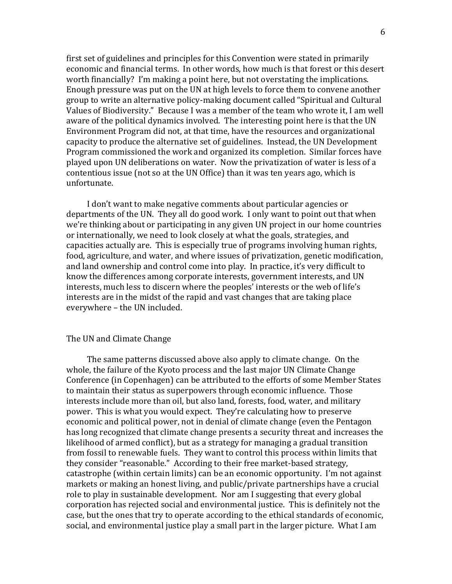first set of guidelines and principles for this Convention were stated in primarily economic and financial terms. In other words, how much is that forest or this desert worth financially? I'm making a point here, but not overstating the implications. Enough pressure was put on the UN at high levels to force them to convene another group to write an alternative policy-making document called "Spiritual and Cultural Values of Biodiversity." Because I was a member of the team who wrote it, I am well aware of the political dynamics involved. The interesting point here is that the UN Environment Program did not, at that time, have the resources and organizational capacity to produce the alternative set of guidelines. Instead, the UN Development Program commissioned the work and organized its completion. Similar forces have played upon UN deliberations on water. Now the privatization of water is less of a contentious issue (not so at the UN Office) than it was ten years ago, which is unfortunate.

I don't want to make negative comments about particular agencies or departments of the UN. They all do good work. I only want to point out that when we're thinking about or participating in any given UN project in our home countries or internationally, we need to look closely at what the goals, strategies, and capacities actually are. This is especially true of programs involving human rights, food, agriculture, and water, and where issues of privatization, genetic modification, and land ownership and control come into play. In practice, it's very difficult to know the differences among corporate interests, government interests, and UN interests, much less to discern where the peoples' interests or the web of life's interests are in the midst of the rapid and vast changes that are taking place everywhere – the UN included.

### The UN and Climate Change

The same patterns discussed above also apply to climate change. On the whole, the failure of the Kyoto process and the last major UN Climate Change Conference (in Copenhagen) can be attributed to the efforts of some Member States to maintain their status as superpowers through economic influence. Those interests include more than oil, but also land, forests, food, water, and military power. This is what you would expect. They're calculating how to preserve economic and political power, not in denial of climate change (even the Pentagon has long recognized that climate change presents a security threat and increases the likelihood of armed conflict), but as a strategy for managing a gradual transition from fossil to renewable fuels. They want to control this process within limits that they consider "reasonable." According to their free market-based strategy, catastrophe (within certain limits) can be an economic opportunity. I'm not against markets or making an honest living, and public/private partnerships have a crucial role to play in sustainable development. Nor am I suggesting that every global corporation has rejected social and environmental justice. This is definitely not the case, but the ones that try to operate according to the ethical standards of economic, social, and environmental justice play a small part in the larger picture. What I am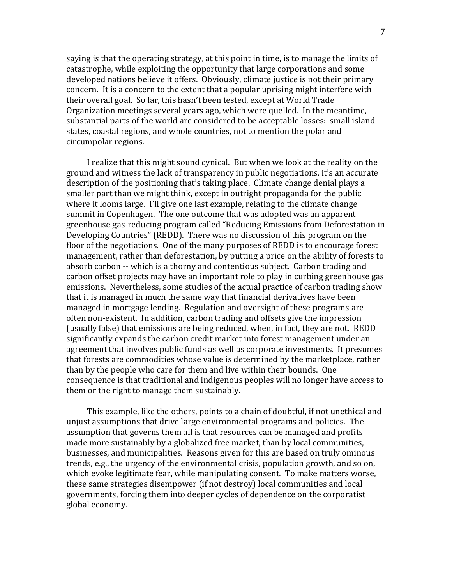saying is that the operating strategy, at this point in time, is to manage the limits of catastrophe, while exploiting the opportunity that large corporations and some developed nations believe it offers. Obviously, climate justice is not their primary concern. It is a concern to the extent that a popular uprising might interfere with their overall goal. So far, this hasn't been tested, except at World Trade Organization meetings several years ago, which were quelled. In the meantime, substantial parts of the world are considered to be acceptable losses: small island states, coastal regions, and whole countries, not to mention the polar and circumpolar regions.

I realize that this might sound cynical. But when we look at the reality on the ground and witness the lack of transparency in public negotiations, it's an accurate description of the positioning that's taking place. Climate change denial plays a smaller part than we might think, except in outright propaganda for the public where it looms large. I'll give one last example, relating to the climate change summit in Copenhagen. The one outcome that was adopted was an apparent greenhouse gas-reducing program called "Reducing Emissions from Deforestation in Developing Countries" (REDD). There was no discussion of this program on the floor of the negotiations. One of the many purposes of REDD is to encourage forest management, rather than deforestation, by putting a price on the ability of forests to absorb carbon -- which is a thorny and contentious subject. Carbon trading and carbon offset projects may have an important role to play in curbing greenhouse gas emissions. Nevertheless, some studies of the actual practice of carbon trading show that it is managed in much the same way that financial derivatives have been managed in mortgage lending. Regulation and oversight of these programs are often non-existent. In addition, carbon trading and offsets give the impression (usually false) that emissions are being reduced, when, in fact, they are not. REDD significantly expands the carbon credit market into forest management under an agreement that involves public funds as well as corporate investments. It presumes that forests are commodities whose value is determined by the marketplace, rather than by the people who care for them and live within their bounds. One consequence is that traditional and indigenous peoples will no longer have access to them or the right to manage them sustainably.

This example, like the others, points to a chain of doubtful, if not unethical and unjust assumptions that drive large environmental programs and policies. The assumption that governs them all is that resources can be managed and profits made more sustainably by a globalized free market, than by local communities, businesses, and municipalities. Reasons given for this are based on truly ominous trends, e.g., the urgency of the environmental crisis, population growth, and so on, which evoke legitimate fear, while manipulating consent. To make matters worse, these same strategies disempower (if not destroy) local communities and local governments, forcing them into deeper cycles of dependence on the corporatist global economy.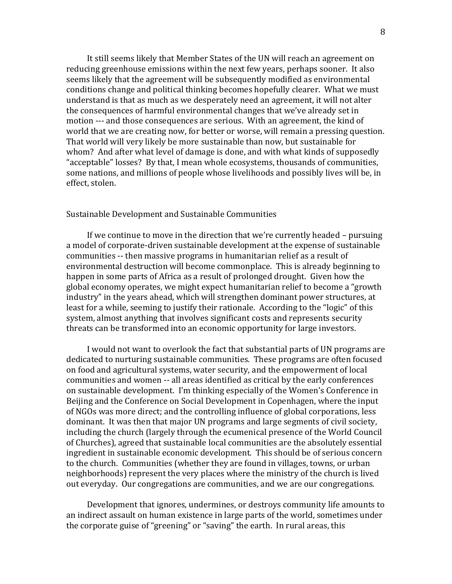It still seems likely that Member States of the UN will reach an agreement on reducing greenhouse emissions within the next few years, perhaps sooner. It also seems likely that the agreement will be subsequently modified as environmental conditions change and political thinking becomes hopefully clearer. What we must understand is that as much as we desperately need an agreement, it will not alter the consequences of harmful environmental changes that we've already set in motion --- and those consequences are serious. With an agreement, the kind of world that we are creating now, for better or worse, will remain a pressing question. That world will very likely be more sustainable than now, but sustainable for whom? And after what level of damage is done, and with what kinds of supposedly "acceptable" losses? By that, I mean whole ecosystems, thousands of communities, some nations, and millions of people whose livelihoods and possibly lives will be, in effect, stolen.

#### Sustainable Development and Sustainable Communities

If we continue to move in the direction that we're currently headed – pursuing a model of corporate-driven sustainable development at the expense of sustainable communities -- then massive programs in humanitarian relief as a result of environmental destruction will become commonplace. This is already beginning to happen in some parts of Africa as a result of prolonged drought. Given how the global economy operates, we might expect humanitarian relief to become a "growth industry" in the years ahead, which will strengthen dominant power structures, at least for a while, seeming to justify their rationale. According to the "logic" of this system, almost anything that involves significant costs and represents security threats can be transformed into an economic opportunity for large investors.

I would not want to overlook the fact that substantial parts of UN programs are dedicated to nurturing sustainable communities. These programs are often focused on food and agricultural systems, water security, and the empowerment of local communities and women -- all areas identified as critical by the early conferences on sustainable development. I'm thinking especially of the Women's Conference in Beijing and the Conference on Social Development in Copenhagen, where the input of NGOs was more direct; and the controlling influence of global corporations, less dominant. It was then that major UN programs and large segments of civil society, including the church (largely through the ecumenical presence of the World Council of Churches), agreed that sustainable local communities are the absolutely essential ingredient in sustainable economic development. This should be of serious concern to the church. Communities (whether they are found in villages, towns, or urban neighborhoods) represent the very places where the ministry of the church is lived out everyday. Our congregations are communities, and we are our congregations.

Development that ignores, undermines, or destroys community life amounts to an indirect assault on human existence in large parts of the world, sometimes under the corporate guise of "greening" or "saving" the earth. In rural areas, this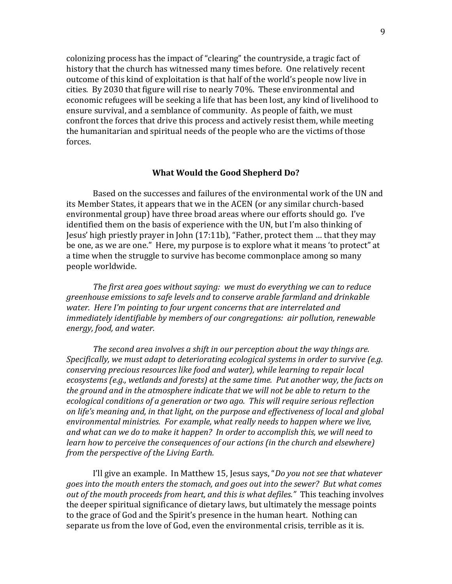colonizing process has the impact of "clearing" the countryside, a tragic fact of history that the church has witnessed many times before. One relatively recent outcome of this kind of exploitation is that half of the world's people now live in cities. By 2030 that figure will rise to nearly 70%. These environmental and economic refugees will be seeking a life that has been lost, any kind of livelihood to ensure survival, and a semblance of community. As people of faith, we must confront the forces that drive this process and actively resist them, while meeting the humanitarian and spiritual needs of the people who are the victims of those forces.

#### **What Would the Good Shepherd Do?**

Based on the successes and failures of the environmental work of the UN and its Member States, it appears that we in the ACEN (or any similar church-based environmental group) have three broad areas where our efforts should go. I've identified them on the basis of experience with the UN, but I'm also thinking of Jesus' high priestly prayer in John (17:11b), "Father, protect them … that they may be one, as we are one." Here, my purpose is to explore what it means 'to protect" at a time when the struggle to survive has become commonplace among so many people worldwide.

*The first area goes without saying: we must do everything we can to reduce greenhouse emissions to safe levels and to conserve arable farmland and drinkable water. Here I'm pointing to four urgent concerns that are interrelated and immediately identifiable by members of our congregations: air pollution, renewable energy, food, and water.* 

*The second area involves a shift in our perception about the way things are. Specifically, we must adapt to deteriorating ecological systems in order to survive (e.g. conserving precious resources like food and water), while learning to repair local ecosystems (e.g., wetlands and forests) at the same time. Put another way, the facts on the ground and in the atmosphere indicate that we will not be able to return to the ecological conditions of a generation or two ago. This will require serious reflection on life's meaning and, in that light, on the purpose and effectiveness of local and global environmental ministries. For example, what really needs to happen where we live, and what can we do to make it happen? In order to accomplish this, we will need to learn how to perceive the consequences of our actions (in the church and elsewhere) from the perspective of the Living Earth.* 

I'll give an example. In Matthew 15, Jesus says, "*Do you not see that whatever goes into the mouth enters the stomach, and goes out into the sewer? But what comes out of the mouth proceeds from heart, and this is what defiles."* This teaching involves the deeper spiritual significance of dietary laws, but ultimately the message points to the grace of God and the Spirit's presence in the human heart. Nothing can separate us from the love of God, even the environmental crisis, terrible as it is.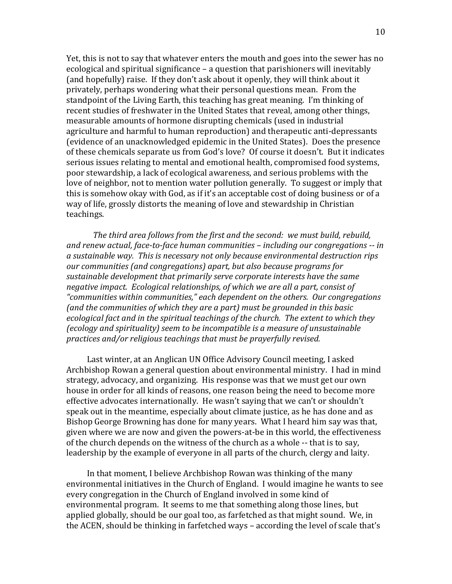Yet, this is not to say that whatever enters the mouth and goes into the sewer has no ecological and spiritual significance – a question that parishioners will inevitably (and hopefully) raise. If they don't ask about it openly, they will think about it privately, perhaps wondering what their personal questions mean. From the standpoint of the Living Earth, this teaching has great meaning. I'm thinking of recent studies of freshwater in the United States that reveal, among other things, measurable amounts of hormone disrupting chemicals (used in industrial agriculture and harmful to human reproduction) and therapeutic anti-depressants (evidence of an unacknowledged epidemic in the United States). Does the presence of these chemicals separate us from God's love? Of course it doesn't. But it indicates serious issues relating to mental and emotional health, compromised food systems, poor stewardship, a lack of ecological awareness, and serious problems with the love of neighbor, not to mention water pollution generally. To suggest or imply that this is somehow okay with God, as if it's an acceptable cost of doing business or of a way of life, grossly distorts the meaning of love and stewardship in Christian teachings.

*The third area follows from the first and the second: we must build, rebuild, and renew actual, face-to-face human communities – including our congregations -- in a sustainable way. This is necessary not only because environmental destruction rips our communities (and congregations) apart, but also because programs for sustainable development that primarily serve corporate interests have the same negative impact. Ecological relationships, of which we are all a part, consist of "communities within communities," each dependent on the others. Our congregations (and the communities of which they are a part) must be grounded in this basic ecological fact and in the spiritual teachings of the church. The extent to which they (ecology and spirituality) seem to be incompatible is a measure of unsustainable practices and/or religious teachings that must be prayerfully revised.* 

Last winter, at an Anglican UN Office Advisory Council meeting, I asked Archbishop Rowan a general question about environmental ministry. I had in mind strategy, advocacy, and organizing. His response was that we must get our own house in order for all kinds of reasons, one reason being the need to become more effective advocates internationally. He wasn't saying that we can't or shouldn't speak out in the meantime, especially about climate justice, as he has done and as Bishop George Browning has done for many years. What I heard him say was that, given where we are now and given the powers-at-be in this world, the effectiveness of the church depends on the witness of the church as a whole -- that is to say, leadership by the example of everyone in all parts of the church, clergy and laity.

In that moment, I believe Archbishop Rowan was thinking of the many environmental initiatives in the Church of England. I would imagine he wants to see every congregation in the Church of England involved in some kind of environmental program. It seems to me that something along those lines, but applied globally, should be our goal too, as farfetched as that might sound. We, in the ACEN, should be thinking in farfetched ways – according the level of scale that's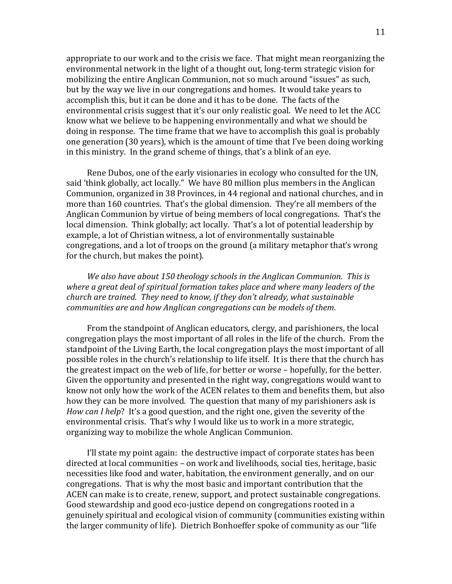appropriate to our work and to the crisis we face. That might mean reorganizing the environmental network in the light of a thought out, long-term strategic vision for mobilizing the entire Anglican Communion, not so much around "issues" as such, but by the way we live in our congregations and homes. It would take years to accomplish this, but it can be done and it has to be done. The facts of the environmental crisis suggest that it's our only realistic goal. We need to let the ACC know what we believe to be happening environmentally and what we should be doing in response. The time frame that we have to accomplish this goal is probably one generation (30 years), which is the amount of time that I've been doing working in this ministry. In the grand scheme of things, that's a blink of an eye.

Rene Dubos, one of the early visionaries in ecology who consulted for the UN, said 'think globally, act locally." We have 80 million plus members in the Anglican Communion, organized in 38 Provinces, in 44 regional and national churches, and in more than 160 countries. That's the global dimension. They're all members of the Anglican Communion by virtue of being members of local congregations. That's the local dimension. Think globally; act locally. That's a lot of potential leadership by example, a lot of Christian witness, a lot of environmentally sustainable congregations, and a lot of troops on the ground (a military metaphor that's wrong for the church, but makes the point).

*We also have about 150 theology schools in the Anglican Communion. This is where a great deal of spiritual formation takes place and where many leaders of the church are trained. They need to know, if they don't already, what sustainable communities are and how Anglican congregations can be models of them.* 

From the standpoint of Anglican educators, clergy, and parishioners, the local congregation plays the most important of all roles in the life of the church. From the standpoint of the Living Earth, the local congregation plays the most important of all possible roles in the church's relationship to life itself. It is there that the church has the greatest impact on the web of life, for better or worse – hopefully, for the better. Given the opportunity and presented in the right way, congregations would want to know not only how the work of the ACEN relates to them and benefits them, but also how they can be more involved. The question that many of my parishioners ask is *How can I help*? It's a good question, and the right one, given the severity of the environmental crisis. That's why I would like us to work in a more strategic, organizing way to mobilize the whole Anglican Communion.

I'll state my point again: the destructive impact of corporate states has been directed at local communities – on work and livelihoods, social ties, heritage, basic necessities like food and water, habitation, the environment generally, and on our congregations. That is why the most basic and important contribution that the ACEN can make is to create, renew, support, and protect sustainable congregations. Good stewardship and good eco-justice depend on congregations rooted in a genuinely spiritual and ecological vision of community (communities existing within the larger community of life). Dietrich Bonhoeffer spoke of community as our "life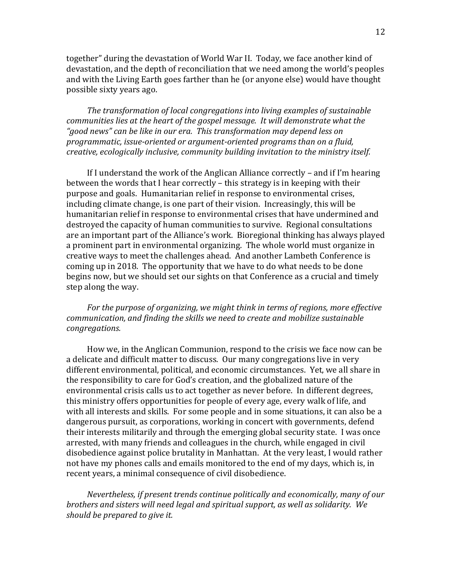together" during the devastation of World War II. Today, we face another kind of devastation, and the depth of reconciliation that we need among the world's peoples and with the Living Earth goes farther than he (or anyone else) would have thought possible sixty years ago.

*The transformation of local congregations into living examples of sustainable communities lies at the heart of the gospel message. It will demonstrate what the "good news" can be like in our era. This transformation may depend less on programmatic, issue-oriented or argument-oriented programs than on a fluid, creative, ecologically inclusive, community building invitation to the ministry itself.*

If I understand the work of the Anglican Alliance correctly – and if I'm hearing between the words that I hear correctly – this strategy is in keeping with their purpose and goals. Humanitarian relief in response to environmental crises, including climate change, is one part of their vision. Increasingly, this will be humanitarian relief in response to environmental crises that have undermined and destroyed the capacity of human communities to survive. Regional consultations are an important part of the Alliance's work. Bioregional thinking has always played a prominent part in environmental organizing. The whole world must organize in creative ways to meet the challenges ahead. And another Lambeth Conference is coming up in 2018. The opportunity that we have to do what needs to be done begins now, but we should set our sights on that Conference as a crucial and timely step along the way.

*For the purpose of organizing, we might think in terms of regions, more effective communication, and finding the skills we need to create and mobilize sustainable congregations.*

How we, in the Anglican Communion, respond to the crisis we face now can be a delicate and difficult matter to discuss. Our many congregations live in very different environmental, political, and economic circumstances. Yet, we all share in the responsibility to care for God's creation, and the globalized nature of the environmental crisis calls us to act together as never before. In different degrees, this ministry offers opportunities for people of every age, every walk of life, and with all interests and skills. For some people and in some situations, it can also be a dangerous pursuit, as corporations, working in concert with governments, defend their interests militarily and through the emerging global security state. I was once arrested, with many friends and colleagues in the church, while engaged in civil disobedience against police brutality in Manhattan. At the very least, I would rather not have my phones calls and emails monitored to the end of my days, which is, in recent years, a minimal consequence of civil disobedience.

*Nevertheless, if present trends continue politically and economically, many of our brothers and sisters will need legal and spiritual support, as well as solidarity. We should be prepared to give it.*